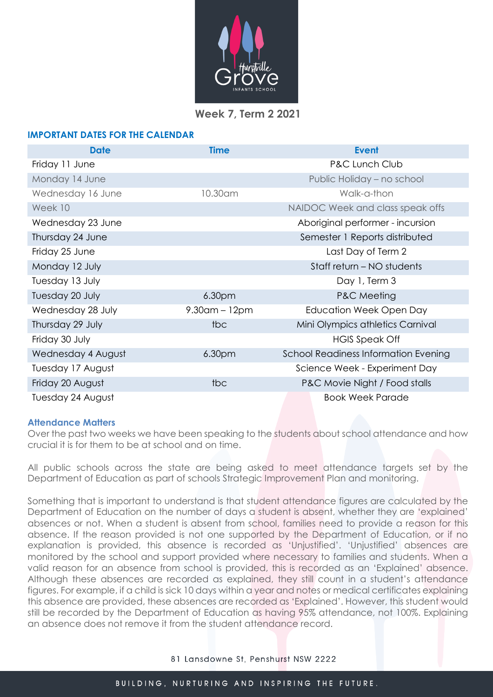

# **Week 7, Term 2 2021**

# **IMPORTANT DATES FOR THE CALENDAR**

| <b>Date</b>        | <b>Time</b>        | <b>Event</b>                                |
|--------------------|--------------------|---------------------------------------------|
| Friday 11 June     |                    | <b>P&amp;C Lunch Club</b>                   |
| Monday 14 June     |                    | Public Holiday - no school                  |
| Wednesday 16 June  | 10.30am            | Walk-a-thon                                 |
| Week 10            |                    | NAIDOC Week and class speak offs            |
| Wednesday 23 June  |                    | Aboriginal performer - incursion            |
| Thursday 24 June   |                    | Semester 1 Reports distributed              |
| Friday 25 June     |                    | Last Day of Term 2                          |
| Monday 12 July     |                    | Staff return – NO students                  |
| Tuesday 13 July    |                    | Day 1, Term 3                               |
| Tuesday 20 July    | 6.30pm             | P&C Meeting                                 |
| Wednesday 28 July  | $9.30$ am – 12pm   | Education Week Open Day                     |
| Thursday 29 July   | tbc                | Mini Olympics athletics Carnival            |
| Friday 30 July     |                    | <b>HGIS Speak Off</b>                       |
| Wednesday 4 August | 6.30 <sub>pm</sub> | <b>School Readiness Information Evening</b> |
| Tuesday 17 August  |                    | Science Week - Experiment Day               |
| Friday 20 August   | tbc                | P&C Movie Night / Food stalls               |
| Tuesday 24 August  |                    | <b>Book Week Parade</b>                     |

# **Attendance Matters**

Over the past two weeks we have been speaking to the students about school attendance and how crucial it is for them to be at school and on time.

All public schools across the state are being asked to meet attendance targets set by the Department of Education as part of schools Strategic Improvement Plan and monitoring.

Something that is important to understand is that student attendance figures are calculated by the Department of Education on the number of days a student is absent, whether they are 'explained' absences or not. When a student is absent from school, families need to provide a reason for this absence. If the reason provided is not one supported by the Department of Education, or if no explanation is provided, this absence is recorded as 'Unjustified'. 'Unjustified' absences are monitored by the school and support provided where necessary to families and students. When a valid reason for an absence from school is provided, this is recorded as an 'Explained' absence. Although these absences are recorded as explained, they still count in a student's attendance figures. For example, if a child is sick 10 days within a year and notes or medical certificates explaining this absence are provided, these absences are recorded as 'Explained'. However, this student would still be recorded by the Department of Education as having 95% attendance, not 100%. Explaining an absence does not remove it from the student attendance record.

81 Lansdowne St, Penshurst NSW 2222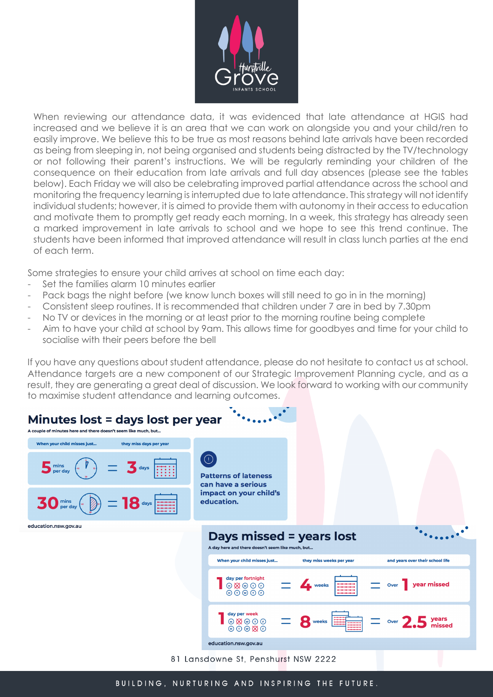

When reviewing our attendance data, it was evidenced that late attendance at HGIS had increased and we believe it is an area that we can work on alongside you and your child/ren to easily improve. We believe this to be true as most reasons behind late arrivals have been recorded as being from sleeping in, not being organised and students being distracted by the TV/technology or not following their parent's instructions. We will be regularly reminding your children of the consequence on their education from late arrivals and full day absences (please see the tables below). Each Friday we will also be celebrating improved partial attendance across the school and monitoring the frequency learning is interrupted due to late attendance. This strategy will not identify individual students; however, it is aimed to provide them with autonomy in their access to education and motivate them to promptly get ready each morning. In a week, this strategy has already seen a marked improvement in late arrivals to school and we hope to see this trend continue. The students have been informed that improved attendance will result in class lunch parties at the end of each term.

Some strategies to ensure your child arrives at school on time each day:

- Set the families alarm 10 minutes earlier
- Pack bags the night before (we know lunch boxes will still need to go in in the morning)
- Consistent sleep routines. It is recommended that children under 7 are in bed by 7.30pm
- No TV or devices in the morning or at least prior to the morning routine being complete
- Aim to have your child at school by 9am. This allows time for goodbyes and time for your child to socialise with their peers before the bell

If you have any questions about student attendance, please do not hesitate to contact us at school. Attendance targets are a new component of our Strategic Improvement Planning cycle, and as a result, they are generating a great deal of discussion. We look forward to working with our community to maximise student attendance and learning outcomes.



BUILDING, NURTURING AND INSPIRING THE FUTURE.